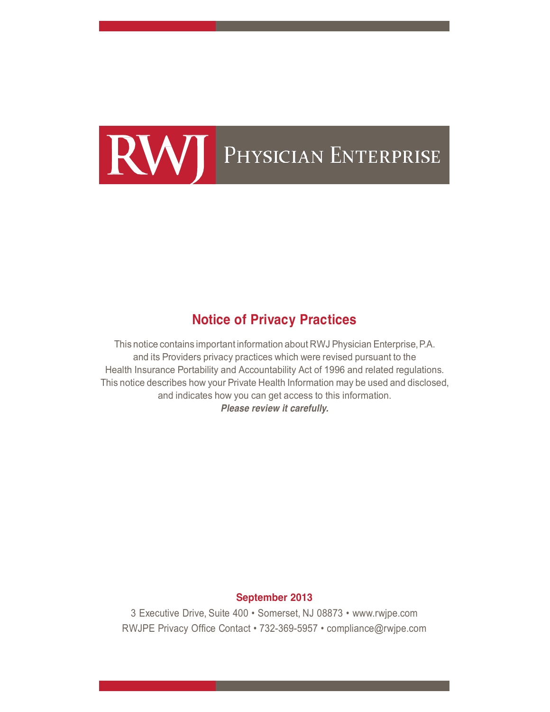

# **Notice of Privacy Practices**

This notice contains important information about RWJ Physician Enterprise,P.A. and its Providers privacy practices which were revised pursuant to the Health Insurance Portability and Accountability Act of 1996 and related regulations. This notice describes how your Private Health Information may be used and disclosed, and indicates how you can get access to this information. *Please review it carefully.*

## **September 2013**

3 Executive Drive, Suite 400 • Somerset, NJ 08873 • www.rwjpe.com RWJPE Privacy Office Contact • 732-369-5957 • compliance@rwjpe.com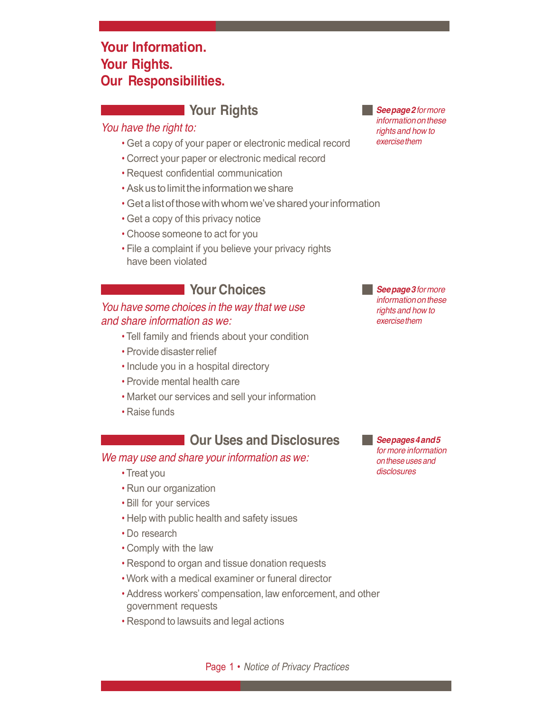# **Your Information. Your Rights. Our Responsibilities.**

# **Your Rights**

## *You have the right to:*

- Get a copy of your paper or electronic medical record
- Correct your paper or electronic medical record
- Request confidential communication
- Ask us to limit the information we share
- Getalistofthosewithwhom we'vesharedyourinformation
- Get a copy of this privacy notice
- Choose someone to act for you
- File a complaint if you believe your privacy rights have been violated

# **Your Choices**

## *You have some choices in the way that we use and share information as we:*

- Tell family and friends about your condition
- Provide disaster relief
- Include you in a hospital directory
- Provide mental health care
- Market our services and sell your information
- Raise funds

# **Our Uses and Disclosures**

#### *We may use and share your information as we:*

- Treat you
- Run our organization
- Bill for your services
- Help with public health and safety issues
- Do research
- Comply with the law
- Respond to organ and tissue donation requests
- Work with a medical examiner or funeral director
- Address workers' compensation, law enforcement, and other government requests
- Respond to lawsuits and legal actions

*Seepage2formore informationonthese rights and how to exercisethem*

*Seepage3formore informationonthese rights and how to exercisethem*

*Seepages4and5 for more information onthese uses and disclosures*

Page 1 • *Notice of Privacy Practices*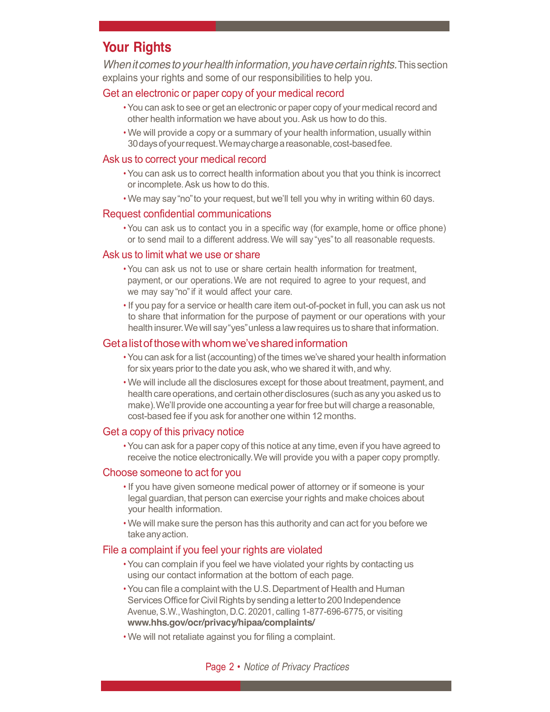# **Your Rights**

*Whenitcomestoyourhealthinformation,youhavecertainrights.*Thissection explains your rights and some of our responsibilities to help you.

## Get an electronic or paper copy of your medical record

- You can ask to see or get an electronic or paper copy of your medical record and other health information we have about you.Ask us how to do this.
- We will provide a copy or a summary of your health information, usually within 30 days of your request. We may charge a reasonable, cost-based fee.

### Ask us to correct your medical record

- You can ask us to correct health information about you that you think is incorrect or incomplete.Ask us how to do this.
- We may say"no"to your request, but we'll tell you why in writing within 60 days.

### Request confidential communications

• You can ask us to contact you in a specific way (for example, home or office phone) or to send mail to a different address.We will say "yes"to all reasonable requests.

### Ask us to limit what we use or share

- You can ask us not to use or share certain health information for treatment, payment, or our operations.We are not required to agree to your request, and we may say "no"if it would affect your care.
- If you pay for a service or health care item out-of-pocket in full, you can ask us not to share that information for the purpose of payment or our operations with your health insurer.We will say"yes"unless a lawrequires us toshare that information.

## Getalistofthosewithwhomwe'vesharedinformation

- You can ask for a list (accounting) of the times we've shared your health information for six years prior to the date you ask, who we shared it with, and why.
- We will include all the disclosures except for those about treatment, payment, and health care operations, and certain other disclosures (such as any you asked us to make). We'll provide one accounting a year for free but will charge a reasonable, cost-based fee if you ask for another one within 12 months.

#### Get a copy of this privacy notice

• You can ask for a paper copy of this notice at any time, even if you have agreed to receive the notice electronically.We will provide you with a paper copy promptly.

#### Choose someone to act for you

- If you have given someone medical power of attorney or if someone is your legal guardian, that person can exercise your rights and make choices about your health information.
- We will make sure the person has this authority and can act for you before we takeanyaction.

#### File a complaint if you feel your rights are violated

- You can complain if you feel we have violated your rights by contacting us using our contact information at the bottom of each page.
- You can file a complaint with the U.S.Department of Health and Human Services Office for Civil Rights by sending a letter to 200 Independence Avenue,S.W.,Washington, D.C. 20201, calling 1-877-696-6775, or visiting **www.hhs.gov/ocr/privacy/hipaa/complaints/**
- We will not retaliate against you for filing a complaint.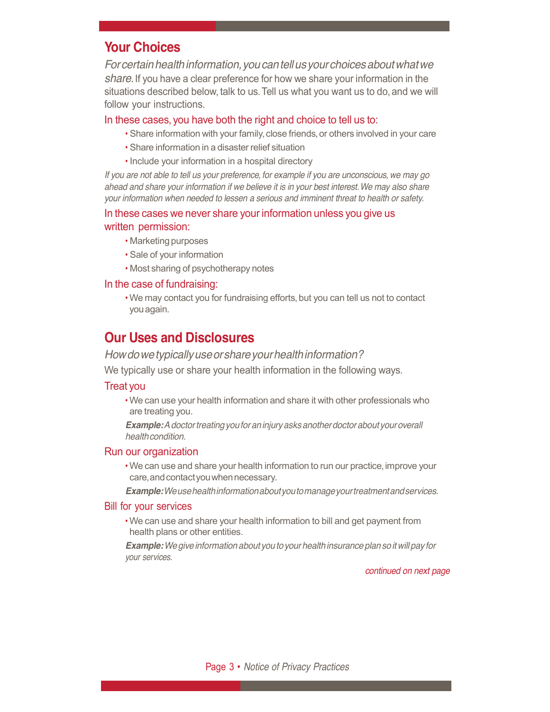# **Your Choices**

*Forcertainhealthinformation,youcantellusyourchoicesaboutwhatwe share.*If you have a clear preference for how we share your information in the situations described below, talk to us.Tell us what you want us to do, and we will follow your instructions.

#### In these cases, you have both the right and choice to tell us to:

- Share information with your family, close friends, or others involved in your care
- Share information in a disaster relief situation
- Include your information in a hospital directory

If you are not able to tell us your preference, for example if you are unconscious, we may go *ahead and share your information if we believe it is in your best interest.We may also share your information when needed to lessen a serious and imminent threat to health or safety.*

## In these cases we never share your information unless you give us written permission:

- Marketing purposes
- Sale of your information
- Most sharing of psychotherapy notes

#### In the case of fundraising:

• We may contact you for fundraising efforts, but you can tell us not to contact youagain.

# **Our Uses and Disclosures**

#### *Howdowetypicallyuseorshareyourhealthinformation?*

We typically use or share your health information in the following ways.

#### Treat you

• We can use your health information and share it with other professionals who are treating you.

*Example:Adoctortreatingyouforaninjuryasksanotherdoctorabout youroverall healthcondition.*

#### Run our organization

• We can use and share your health information to run our practice, improve your care,andcontactyouwhennecessary.

*Example:Weusehealthinformationaboutyoutomanageyourtreatmentandservices.*

#### Bill for your services

• We can use and share your health information to bill and get payment from health plans or other entities.

*Example:Wegiveinformationabout youtoyourhealthinsuranceplansoitwillpay for your services.*

*continued on next page*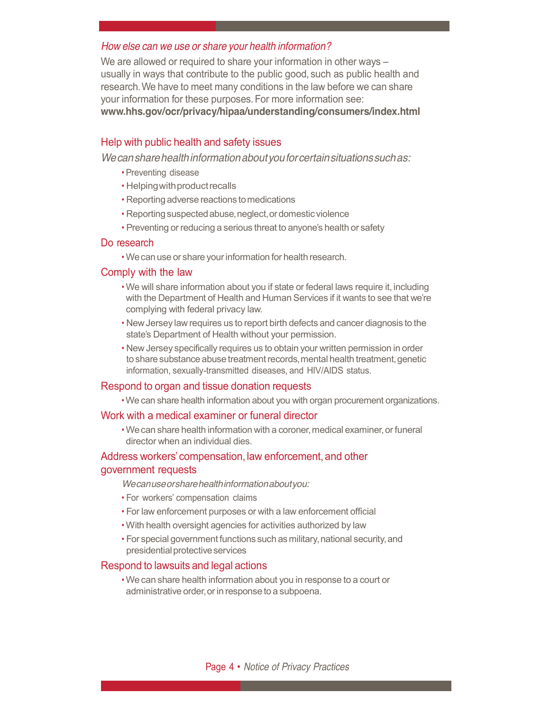#### *How else can we use or share your health information?*

We are allowed or required to share your information in other ways – usually in ways that contribute to the public good, such as public health and research.We have to meet many conditions in the law before we can share your information for these purposes.For more information see: **www.hhs.gov/ocr/privacy/hipaa/understanding/consumers/index.html**

#### Help with public health and safety issues

*Wecansharehealthinformationaboutyouforcertainsituationssuchas:*

- Preventing disease
- Helpingwithproductrecalls
- Reporting adverse reactions tomedications
- Reporting suspected abuse, neglect, or domestic violence
- Preventing or reducing a serious threat to anyone's health or safety

#### Do research

• Wecan use or share yourinformation for health research.

#### Comply with the law

- We will share information about you if state or federal laws require it, including with the Department of Health and Human Services if it wants to see that we're complying with federal privacy law.
- NewJersey law requires us to report birth defects and cancer diagnosis to the state's Department of Health without your permission.
- New Jersey specifically requires us to obtain your written permission in order to share substance abuse treatment records, mental health treatment, genetic information, sexually-transmitted diseases, and HIV/AIDS status.

#### Respond to organ and tissue donation requests

• We can share health information about you with organ procurement organizations.

#### Work with a medical examiner or funeral director

• We can share health information with a coroner, medical examiner, or funeral director when an individual dies.

### Address workers' compensation, law enforcement, and other government requests

*Wecanuseorsharehealthinformationaboutyou:*

- For workers' compensation claims
- For law enforcement purposes or with a law enforcement official
- With health oversight agencies for activities authorized by law
- For special government functions such as military, national security, and presidential protective services

#### Respond to lawsuits and legal actions

• We can share health information about you in response to a court or administrative order, or in response to a subpoena.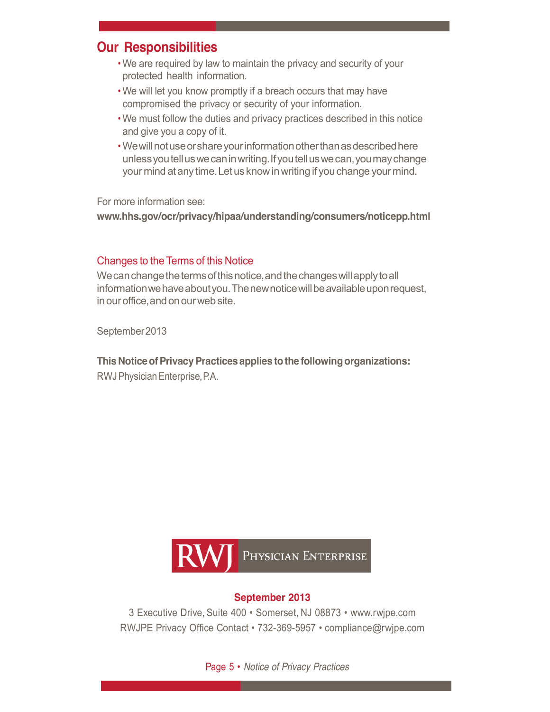# **Our Responsibilities**

- We are required by law to maintain the privacy and security of your protected health information.
- We will let you know promptly if a breach occurs that may have compromised the privacy or security of your information.
- We must follow the duties and privacy practices described in this notice and give you a copy of it.
- We will not use or share your information other than as described here unlessyoutelluswecaninwriting.Ifyoutelluswecan,youmaychange your mind at any time. Let us know in writing if you change your mind.

For more information see:

**www.hhs.gov/ocr/privacy/hipaa/understanding/consumers/noticepp.html**

## Changes to the Terms of this Notice

We can change the terms of this notice, and the changes will apply to all information we have about you. The new notice will be available upon request, in our office, and on our web site.

September2013

**This Notice of Privacy Practices applies to the following organizations:** RWJPhysicianEnterprise,P.A.



## **September 2013**

3 Executive Drive, Suite 400 • Somerset, NJ 08873 • www.rwjpe.com RWJPE Privacy Office Contact • 732-369-5957 • compliance@rwjpe.com

Page 5 • *Notice of Privacy Practices*